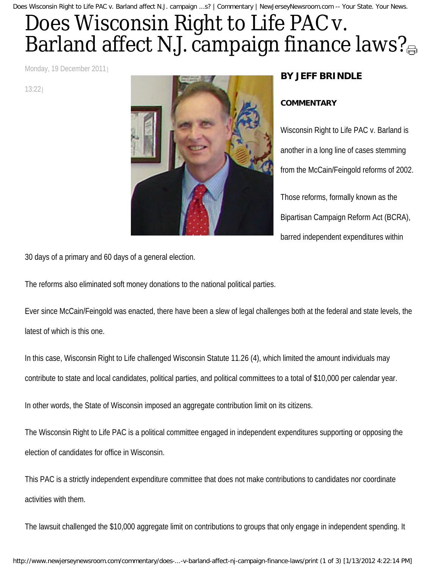Does Wisconsin Right to Life PAC v. Barland affect N.J. campaign ...s? | Commentary | NewJerseyNewsroom.com -- Your State. Your News.

## Does Wisconsin Right to Life PAC v. Barlandaffect N.J. campaign finance laws?

Monday, 19 December 2011

13:22



## **BY JEFF BRINDLE**

## **COMMENTARY**

Wisconsin Right to Life PAC v. Barland is another in a long line of cases stemming from the McCain/Feingold reforms of 2002. Those reforms, formally known as the Bipartisan Campaign Reform Act (BCRA), barred independent expenditures within

30 days of a primary and 60 days of a general election.

The reforms also eliminated soft money donations to the national political parties.

Ever since McCain/Feingold was enacted, there have been a slew of legal challenges both at the federal and state levels, the latest of which is this one.

In this case, Wisconsin Right to Life challenged Wisconsin Statute 11.26 (4), which limited the amount individuals may contribute to state and local candidates, political parties, and political committees to a total of \$10,000 per calendar year.

In other words, the State of Wisconsin imposed an aggregate contribution limit on its citizens.

The Wisconsin Right to Life PAC is a political committee engaged in independent expenditures supporting or opposing the election of candidates for office in Wisconsin.

This PAC is a strictly independent expenditure committee that does not make contributions to candidates nor coordinate activities with them.

The lawsuit challenged the \$10,000 aggregate limit on contributions to groups that only engage in independent spending. It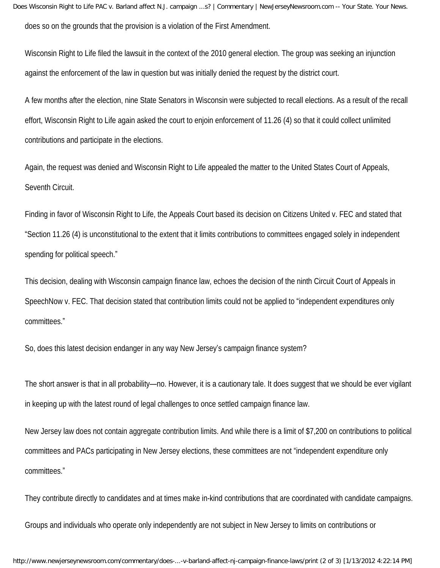Does Wisconsin Right to Life PAC v. Barland affect N.J. campaign ...s? | Commentary | NewJerseyNewsroom.com -- Your State. Your News. does so on the grounds that the provision is a violation of the First Amendment.

Wisconsin Right to Life filed the lawsuit in the context of the 2010 general election. The group was seeking an injunction against the enforcement of the law in question but was initially denied the request by the district court.

A few months after the election, nine State Senators in Wisconsin were subjected to recall elections. As a result of the recall effort, Wisconsin Right to Life again asked the court to enjoin enforcement of 11.26 (4) so that it could collect unlimited contributions and participate in the elections.

Again, the request was denied and Wisconsin Right to Life appealed the matter to the United States Court of Appeals, Seventh Circuit.

Finding in favor of Wisconsin Right to Life, the Appeals Court based its decision on Citizens United v. FEC and stated that "Section 11.26 (4) is unconstitutional to the extent that it limits contributions to committees engaged solely in independent spending for political speech."

This decision, dealing with Wisconsin campaign finance law, echoes the decision of the ninth Circuit Court of Appeals in SpeechNow v. FEC. That decision stated that contribution limits could not be applied to "independent expenditures only committees."

So, does this latest decision endanger in any way New Jersey's campaign finance system?

The short answer is that in all probability—no. However, it is a cautionary tale. It does suggest that we should be ever vigilant in keeping up with the latest round of legal challenges to once settled campaign finance law.

New Jersey law does not contain aggregate contribution limits. And while there is a limit of \$7,200 on contributions to political committees and PACs participating in New Jersey elections, these committees are not "independent expenditure only committees."

They contribute directly to candidates and at times make in-kind contributions that are coordinated with candidate campaigns.

Groups and individuals who operate only independently are not subject in New Jersey to limits on contributions or